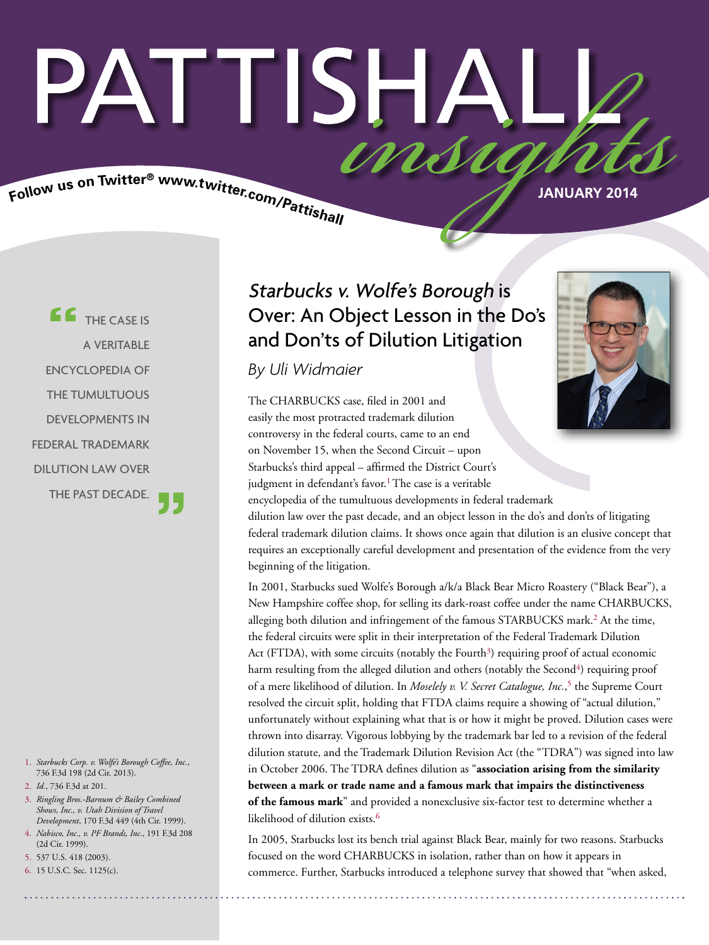# PATTISHA insu

Follow us on Twitter® www.twitter.com/Pattishall

**JANUARY 2014**

**CE** THE CASE IS A VERITABLE ENCYCLOPEDIA OF THE TUMULTUOUS DEVELOPMENTS IN FEDERAL TRADEMARK DILUTION LAW OVER THE PAST DECADE.

- 1. *Starbucks Corp. v. Wolfe's Borough Coffee, Inc.*, 736 F.3d 198 (2d Cir. 2013).
- 2. *Id.*, 736 F.3d at 201.
- 3. *Ringling Bros.-Barnum & Bailey Combined Shows, Inc., v. Utah Division of Travel Development*, 170 F.3d 449 (4th Cir. 1999).
- 4. *Nabisco, Inc., v. PF Brands, Inc.*, 191 F.3d 208 (2d Cir. 1999).
- 5. 537 U.S. 418 (2003).
- 6. 15 U.S.C. Sec. 1125(c).

### Starbucks v. Wolfe's Borough is Over: An Object Lesson in the Do's and Don'ts of Dilution Litigation

*By Uli Widmaier*

The CHARBUCKS case, filed in 2001 and easily the most protracted trademark dilution controversy in the federal courts, came to an end on November 15, when the Second Circuit – upon Starbucks's third appeal – affirmed the District Court's judgment in defendant's favor.<sup>1</sup> The case is a veritable encyclopedia of the tumultuous developments in federal trademark dilution law over the past decade, and an object lesson in the do's and don'ts of litigating federal trademark dilution claims. It shows once again that dilution is an elusive concept that requires an exceptionally careful development and presentation of the evidence from the very beginning of the litigation.

In 2001, Starbucks sued Wolfe's Borough a/k/a Black Bear Micro Roastery ("Black Bear"), a New Hampshire coffee shop, for selling its dark-roast coffee under the name CHARBUCKS, alleging both dilution and infringement of the famous STARBUCKS mark.<sup>2</sup> At the time, the federal circuits were split in their interpretation of the Federal Trademark Dilution Act (FTDA), with some circuits (notably the Fourth<sup>3</sup>) requiring proof of actual economic harm resulting from the alleged dilution and others (notably the Second<sup>4</sup>) requiring proof of a mere likelihood of dilution. In *Moselely v. V. Secret Catalogue, Inc.*, 5 the Supreme Court resolved the circuit split, holding that FTDA claims require a showing of "actual dilution," unfortunately without explaining what that is or how it might be proved. Dilution cases were thrown into disarray. Vigorous lobbying by the trademark bar led to a revision of the federal dilution statute, and the Trademark Dilution Revision Act (the "TDRA") was signed into law in October 2006. The TDRA defines dilution as "association arising from the similarity **between a mark or trade name and a famous mark that impairs the distinctiveness of the famous mark**" and provided a nonexclusive six-factor test to determine whether a likelihood of dilution exists.<sup>6</sup>

In 2005, Starbucks lost its bench trial against Black Bear, mainly for two reasons. Starbucks focused on the word CHARBUCKS in isolation, rather than on how it appears in commerce. Further, Starbucks introduced a telephone survey that showed that "when asked,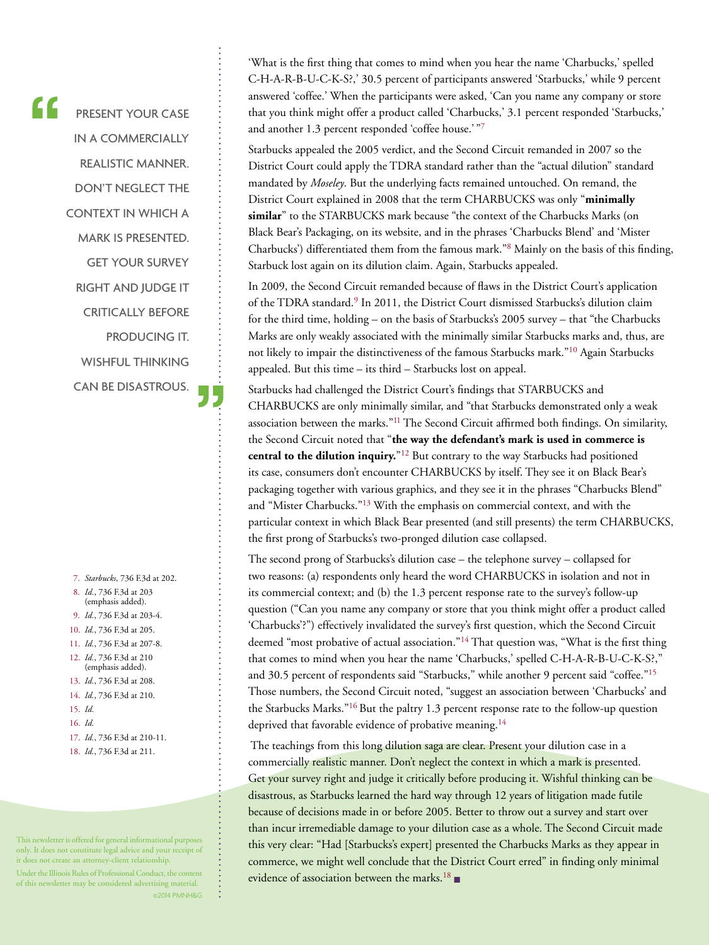PRESENT YOUR CASE IN A COMMERCIALLY REALISTIC MANNER. DON'T NEGLECT THE CONTEXT IN WHICH A MARK IS PRESENTED. GET YOUR SURVEY RIGHT AND JUDGE IT CRITICALLY BEFORE PRODUCING IT. WISHFUL THINKING CAN BE DISASTROUS.

 $\epsilon$ 

7. *Starbucks*, 736 F.3d at 202. 8. *Id.*, 736 F.3d at 203 (emphasis added). 9. *Id.*, 736 F.3d at 203-4. 10. *Id.*, 736 F.3d at 205. 11. *Id.*, 736 F.3d at 207-8. 12. *Id.*, 736 F.3d at 210 (emphasis added). 13. *Id.*, 736 F.3d at 208. 14. *Id.*, 736 F.3d at 210. 15. *Id.* 16. *Id.* 17. *Id.*, 736 F.3d at 210-11. 18. *Id.*, 736 F.3d at 211.

This newsletter is offered for general informational purposes only. It does not constitute legal advice and your receipt of it does not create an attorney-client relationship.

Under the Illinois Rules of Professional Conduct, the content of this newsletter may be considered advertising material. ©2014 PMNH&G 'What is the first thing that comes to mind when you hear the name 'Charbucks,' spelled C-H-A-R-B-U-C-K-S?,' 30.5 percent of participants answered 'Starbucks,' while 9 percent answered 'coffee.' When the participants were asked, 'Can you name any company or store that you think might offer a product called 'Charbucks,' 3.1 percent responded 'Starbucks,' and another 1.3 percent responded 'coffee house.' "7

Starbucks appealed the 2005 verdict, and the Second Circuit remanded in 2007 so the District Court could apply the TDRA standard rather than the "actual dilution" standard mandated by *Moseley*. But the underlying facts remained untouched. On remand, the District Court explained in 2008 that the term CHARBUCKS was only "**minimally similar**" to the STARBUCKS mark because "the context of the Charbucks Marks (on Black Bear's Packaging, on its website, and in the phrases 'Charbucks Blend' and 'Mister Charbucks') differentiated them from the famous mark."8 Mainly on the basis of this finding, Starbuck lost again on its dilution claim. Again, Starbucks appealed.

In 2009, the Second Circuit remanded because of flaws in the District Court's application of the TDRA standard.9 In 2011, the District Court dismissed Starbucks's dilution claim for the third time, holding – on the basis of Starbucks's 2005 survey – that "the Charbucks Marks are only weakly associated with the minimally similar Starbucks marks and, thus, are not likely to impair the distinctiveness of the famous Starbucks mark."10 Again Starbucks appealed. But this time – its third – Starbucks lost on appeal.

Starbucks had challenged the District Court's findings that STARBUCKS and CHARBUCKS are only minimally similar, and "that Starbucks demonstrated only a weak association between the marks."<sup>11</sup> The Second Circuit affirmed both findings. On similarity, the Second Circuit noted that "**the way the defendant's mark is used in commerce is central to the dilution inquiry.**"12 But contrary to the way Starbucks had positioned its case, consumers don't encounter CHARBUCKS by itself. They see it on Black Bear's packaging together with various graphics, and they see it in the phrases "Charbucks Blend" and "Mister Charbucks."13 With the emphasis on commercial context, and with the particular context in which Black Bear presented (and still presents) the term CHARBUCKS, the first prong of Starbucks's two-pronged dilution case collapsed.

The second prong of Starbucks's dilution case – the telephone survey – collapsed for two reasons: (a) respondents only heard the word CHARBUCKS in isolation and not in its commercial context; and (b) the 1.3 percent response rate to the survey's follow-up question ("Can you name any company or store that you think might offer a product called 'Charbucks'?") effectively invalidated the survey's first question, which the Second Circuit deemed "most probative of actual association."<sup>14</sup> That question was, "What is the first thing that comes to mind when you hear the name 'Charbucks,' spelled C-H-A-R-B-U-C-K-S?," and 30.5 percent of respondents said "Starbucks," while another 9 percent said "coffee."<sup>15</sup> Those numbers, the Second Circuit noted, "suggest an association between 'Charbucks' and the Starbucks Marks."16 But the paltry 1.3 percent response rate to the follow-up question deprived that favorable evidence of probative meaning.<sup>14</sup>

The teachings from this long dilution saga are clear. Present your dilution case in a commercially realistic manner. Don't neglect the context in which a mark is presented. Get your survey right and judge it critically before producing it. Wishful thinking can be disastrous, as Starbucks learned the hard way through 12 years of litigation made futile because of decisions made in or before 2005. Better to throw out a survey and start over than incur irremediable damage to your dilution case as a whole. The Second Circuit made this very clear: "Had [Starbucks's expert] presented the Charbucks Marks as they appear in commerce, we might well conclude that the District Court erred" in finding only minimal evidence of association between the marks.<sup>18</sup> ■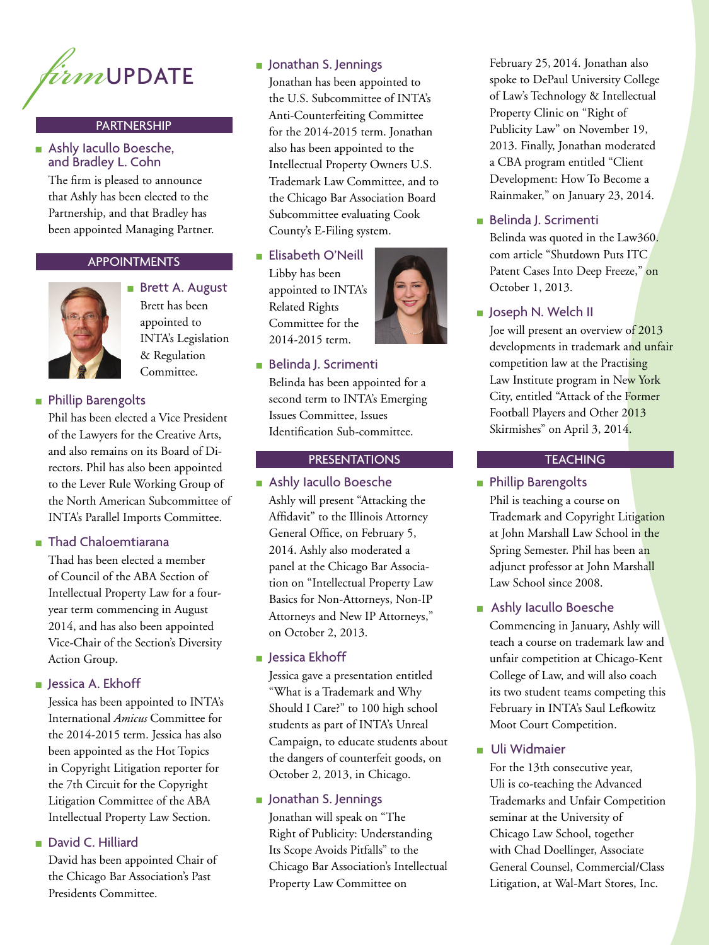

#### PARTNERSHIP

#### ■ Ashly Iacullo Boesche, and Bradley L. Cohn

The firm is pleased to announce that Ashly has been elected to the Partnership, and that Bradley has been appointed Managing Partner.

#### APPOINTMENTS



■ Brett A. August Brett has been appointed to INTA's Legislation & Regulation Committee.

#### ■ Phillip Barengolts

Phil has been elected a Vice President of the Lawyers for the Creative Arts, and also remains on its Board of Directors. Phil has also been appointed to the Lever Rule Working Group of the North American Subcommittee of INTA's Parallel Imports Committee.

#### ■ Thad Chaloemtiarana

Thad has been elected a member of Council of the ABA Section of Intellectual Property Law for a fouryear term commencing in August 2014, and has also been appointed Vice-Chair of the Section's Diversity Action Group.

#### ■ Jessica A. Ekhoff

Jessica has been appointed to INTA's International *Amicus* Committee for the 2014-2015 term. Jessica has also been appointed as the Hot Topics in Copyright Litigation reporter for the 7th Circuit for the Copyright Litigation Committee of the ABA Intellectual Property Law Section.

#### ■ David C. Hilliard

David has been appointed Chair of the Chicago Bar Association's Past Presidents Committee.

Jonathan has been appointed to the U.S. Subcommittee of INTA's Anti-Counterfeiting Committee for the 2014-2015 term. Jonathan also has been appointed to the Intellectual Property Owners U.S. Trademark Law Committee, and to the Chicago Bar Association Board Subcommittee evaluating Cook County's E-Filing system.

#### ■ Elisabeth O'Neill

Libby has been appointed to INTA's Related Rights Committee for the 2014-2015 term.



#### ■ Belinda J. Scrimenti

Belinda has been appointed for a second term to INTA's Emerging Issues Committee, Issues Identification Sub-committee.

#### **PRESENTATIONS**

■ Ashly Iacullo Boesche Ashly will present "Attacking the Affidavit" to the Illinois Attorney General Office, on February 5, 2014. Ashly also moderated a panel at the Chicago Bar Association on "Intellectual Property Law Basics for Non-Attorneys, Non-IP Attorneys and New IP Attorneys," on October 2, 2013.

#### ■ Jessica Ekhoff

Jessica gave a presentation entitled "What is a Trademark and Why Should I Care?" to 100 high school students as part of INTA's Unreal Campaign, to educate students about the dangers of counterfeit goods, on October 2, 2013, in Chicago.

#### ■ Jonathan S. Jennings

Jonathan will speak on "The Right of Publicity: Understanding Its Scope Avoids Pitfalls" to the Chicago Bar Association's Intellectual Property Law Committee on

February 25, 2014. Jonathan also spoke to DePaul University College of Law's Technology & Intellectual Property Clinic on "Right of Publicity Law" on November 19, 2013. Finally, Jonathan moderated a CBA program entitled "Client Development: How To Become a Rainmaker," on January 23, 2014.

#### ■ Belinda J. Scrimenti

Belinda was quoted in the Law360. com article "Shutdown Puts ITC Patent Cases Into Deep Freeze," on October 1, 2013.

■ Joseph N. Welch II

Joe will present an overview of 2013 developments in trademark and unfair competition law at the Practising Law Institute program in New York City, entitled "Attack of the Former Football Players and Other 2013 Skirmishes" on April 3, 2014.

#### **TEACHING**

■ Phillip Barengolts Phil is teaching a course on Trademark and Copyright Litigation at John Marshall Law School in the Spring Semester. Phil has been an adjunct professor at John Marshall Law School since 2008.

#### ■ Ashly Iacullo Boesche

Commencing in January, Ashly will teach a course on trademark law and unfair competition at Chicago-Kent College of Law, and will also coach its two student teams competing this February in INTA's Saul Lefkowitz Moot Court Competition.

#### ■ Uli Widmaier

For the 13th consecutive year, Uli is co-teaching the Advanced Trademarks and Unfair Competition seminar at the University of Chicago Law School, together with Chad Doellinger, Associate General Counsel, Commercial/Class Litigation, at Wal-Mart Stores, Inc.